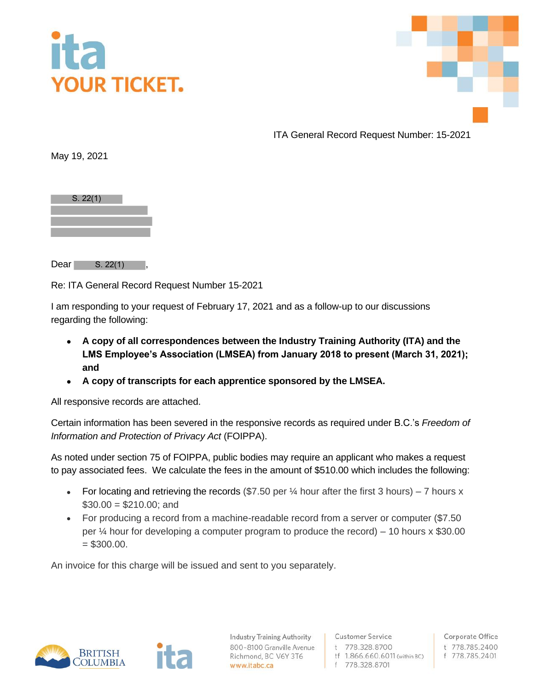



ITA General Record Request Number: 15-2021

May 19, 2021

| S. 22(1) |  |
|----------|--|
|          |  |
|          |  |
|          |  |

Dear **The Dear** S. 22(1)

Re: ITA General Record Request Number 15-2021

I am responding to your request of February 17, 2021 and as a follow-up to our discussions regarding the following:

- **A copy of all correspondences between the Industry Training Authority (ITA) and the LMS Employee's Association (LMSEA) from January 2018 to present (March 31, 2021); and**
- **A copy of transcripts for each apprentice sponsored by the LMSEA.**

All responsive records are attached.

Certain information has been severed in the responsive records as required under B.C.'s *Freedom of Information and Protection of Privacy Act* (FOIPPA).

As noted under section 75 of FOIPPA, public bodies may require an applicant who makes a request to pay associated fees. We calculate the fees in the amount of \$510.00 which includes the following:

- For locating and retrieving the records (\$7.50 per  $\frac{1}{4}$  hour after the first 3 hours) 7 hours x  $$30.00 = $210.00$ ; and
- For producing a record from a machine-readable record from a server or computer (\$7.50 per  $\frac{1}{4}$  hour for developing a computer program to produce the record) – 10 hours x \$30.00  $= $300.00.$

An invoice for this charge will be issued and sent to you separately.



**Industry Training Authority** 800-8100 Granville Avenue Richmond, BC V6Y 3T6 www.itabc.ca

**Customer Service** t 778.328.8700 tf 1.866.660.6011 (within BC) f 778.328.8701

Corporate Office t 778.785.2400 f 778.785.2401